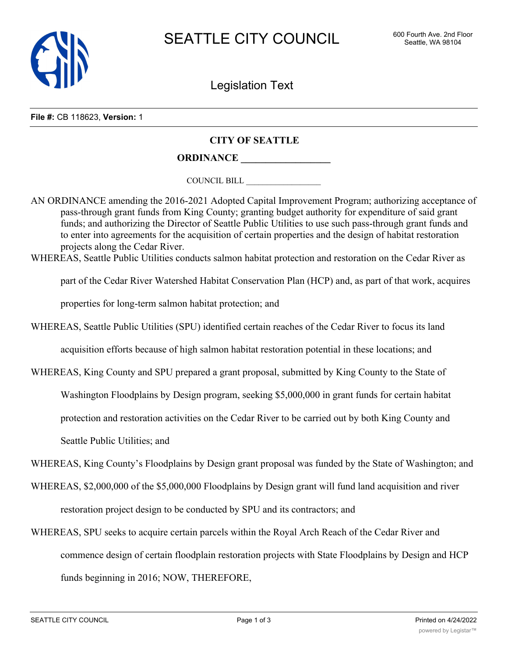

Legislation Text

**File #:** CB 118623, **Version:** 1

## **CITY OF SEATTLE**

**ORDINANCE \_\_\_\_\_\_\_\_\_\_\_\_\_\_\_\_\_\_**

COUNCIL BILL \_\_\_\_\_\_\_\_\_\_\_\_\_\_\_\_\_\_

AN ORDINANCE amending the 2016-2021 Adopted Capital Improvement Program; authorizing acceptance of pass-through grant funds from King County; granting budget authority for expenditure of said grant funds; and authorizing the Director of Seattle Public Utilities to use such pass-through grant funds and to enter into agreements for the acquisition of certain properties and the design of habitat restoration projects along the Cedar River.

WHEREAS, Seattle Public Utilities conducts salmon habitat protection and restoration on the Cedar River as

part of the Cedar River Watershed Habitat Conservation Plan (HCP) and, as part of that work, acquires

properties for long-term salmon habitat protection; and

WHEREAS, Seattle Public Utilities (SPU) identified certain reaches of the Cedar River to focus its land

acquisition efforts because of high salmon habitat restoration potential in these locations; and

WHEREAS, King County and SPU prepared a grant proposal, submitted by King County to the State of

Washington Floodplains by Design program, seeking \$5,000,000 in grant funds for certain habitat

protection and restoration activities on the Cedar River to be carried out by both King County and

Seattle Public Utilities; and

WHEREAS, King County's Floodplains by Design grant proposal was funded by the State of Washington; and

WHEREAS, \$2,000,000 of the \$5,000,000 Floodplains by Design grant will fund land acquisition and river

restoration project design to be conducted by SPU and its contractors; and

WHEREAS, SPU seeks to acquire certain parcels within the Royal Arch Reach of the Cedar River and commence design of certain floodplain restoration projects with State Floodplains by Design and HCP funds beginning in 2016; NOW, THEREFORE,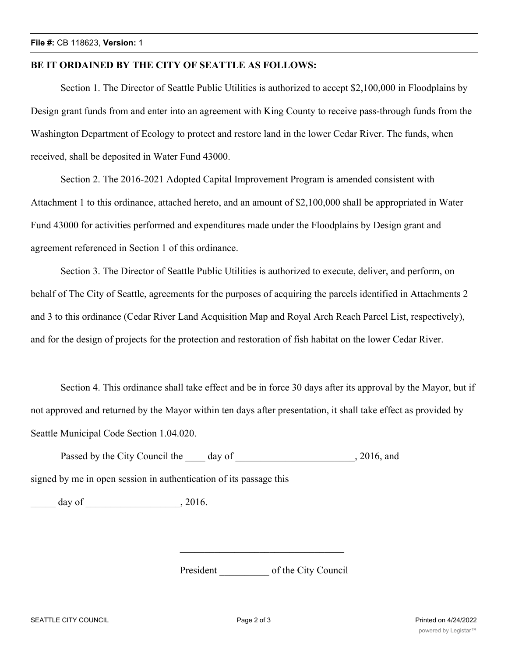## **BE IT ORDAINED BY THE CITY OF SEATTLE AS FOLLOWS:**

Section 1. The Director of Seattle Public Utilities is authorized to accept \$2,100,000 in Floodplains by Design grant funds from and enter into an agreement with King County to receive pass-through funds from the Washington Department of Ecology to protect and restore land in the lower Cedar River. The funds, when received, shall be deposited in Water Fund 43000.

Section 2. The 2016-2021 Adopted Capital Improvement Program is amended consistent with Attachment 1 to this ordinance, attached hereto, and an amount of \$2,100,000 shall be appropriated in Water Fund 43000 for activities performed and expenditures made under the Floodplains by Design grant and agreement referenced in Section 1 of this ordinance.

Section 3. The Director of Seattle Public Utilities is authorized to execute, deliver, and perform, on behalf of The City of Seattle, agreements for the purposes of acquiring the parcels identified in Attachments 2 and 3 to this ordinance (Cedar River Land Acquisition Map and Royal Arch Reach Parcel List, respectively), and for the design of projects for the protection and restoration of fish habitat on the lower Cedar River.

Section 4. This ordinance shall take effect and be in force 30 days after its approval by the Mayor, but if not approved and returned by the Mayor within ten days after presentation, it shall take effect as provided by Seattle Municipal Code Section 1.04.020.

Passed by the City Council the \_\_\_\_\_ day of \_\_\_\_\_\_\_\_\_\_\_\_\_\_\_\_\_\_\_\_\_\_, 2016, and

signed by me in open session in authentication of its passage this

\_\_\_\_\_ day of \_\_\_\_\_\_\_\_\_\_\_\_\_\_\_\_\_\_\_, 2016.

President \_\_\_\_\_\_\_\_\_\_ of the City Council